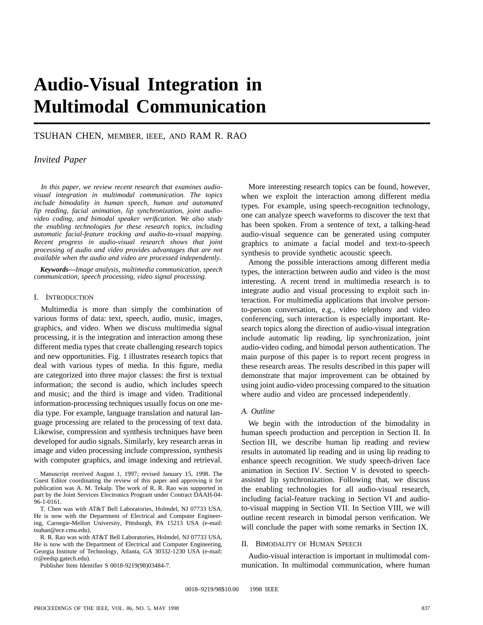# **Audio-Visual Integration in Multimodal Communication**

# TSUHAN CHEN, MEMBER, IEEE, AND RAM R. RAO

## *Invited Paper*

*In this paper, we review recent research that examines audiovisual integration in multimodal communication. The topics include bimodality in human speech, human and automated lip reading, facial animation, lip synchronization, joint audiovideo coding, and bimodal speaker verification. We also study the enabling technologies for these research topics, including automatic facial-feature tracking and audio-to-visual mapping. Recent progress in audio-visual research shows that joint processing of audio and video provides advantages that are not available when the audio and video are processed independently.*

*Keywords—Image analysis, multimedia communication, speech communication, speech processing, video signal processing.*

#### I. INTRODUCTION

Multimedia is more than simply the combination of various forms of data: text, speech, audio, music, images, graphics, and video. When we discuss multimedia signal processing, it is the integration and interaction among these different media types that create challenging research topics and new opportunities. Fig. 1 illustrates research topics that deal with various types of media. In this figure, media are categorized into three major classes: the first is textual information; the second is audio, which includes speech and music; and the third is image and video. Traditional information-processing techniques usually focus on one media type. For example, language translation and natural language processing are related to the processing of text data. Likewise, compression and synthesis techniques have been developed for audio signals. Similarly, key research areas in image and video processing include compression, synthesis with computer graphics, and image indexing and retrieval.

Manuscript received August 1, 1997; revised January 15, 1998. The Guest Editor coordinating the review of this paper and approving it for publication was A. M. Tekalp. The work of R. R. Rao was supported in part by the Joint Services Electronics Program under Contract DAAH-04- 96-1-0161.

T. Chen was with AT&T Bell Laboratories, Holmdel, NJ 07733 USA. He is now with the Department of Electrical and Computer Engineering, Carnegie-Mellon University, Pittsburgh, PA 15213 USA (e-mail: tsuhan@ece.cmu.edu).

R. R. Rao was with AT&T Bell Laboratories, Holmdel, NJ 07733 USA. He is now with the Department of Electrical and Computer Engineering, Georgia Institute of Technology, Atlanta, GA 30332-1230 USA (e-mail: rr@eedsp.gatech.edu).

Publisher Item Identifier S 0018-9219(98)03484-7.

More interesting research topics can be found, however, when we exploit the interaction among different media types. For example, using speech-recognition technology, one can analyze speech waveforms to discover the text that has been spoken. From a sentence of text, a talking-head audio-visual sequence can be generated using computer graphics to animate a facial model and text-to-speech synthesis to provide synthetic acoustic speech.

Among the possible interactions among different media types, the interaction between audio and video is the most interesting. A recent trend in multimedia research is to integrate audio and visual processing to exploit such interaction. For multimedia applications that involve personto-person conversation, e.g., video telephony and video conferencing, such interaction is especially important. Research topics along the direction of audio-visual integration include automatic lip reading, lip synchronization, joint audio-video coding, and bimodal person authentication. The main purpose of this paper is to report recent progress in these research areas. The results described in this paper will demonstrate that major improvement can be obtained by using joint audio-video processing compared to the situation where audio and video are processed independently.

## *A. Outline*

We begin with the introduction of the bimodality in human speech production and perception in Section II. In Section III, we describe human lip reading and review results in automated lip reading and in using lip reading to enhance speech recognition. We study speech-driven face animation in Section IV. Section V is devoted to speechassisted lip synchronization. Following that, we discuss the enabling technologies for all audio-visual research, including facial-feature tracking in Section VI and audioto-visual mapping in Section VII. In Section VIII, we will outline recent research in bimodal person verification. We will conclude the paper with some remarks in Section IX.

## II. BIMODALITY OF HUMAN SPEECH

Audio-visual interaction is important in multimodal communication. In multimodal communication, where human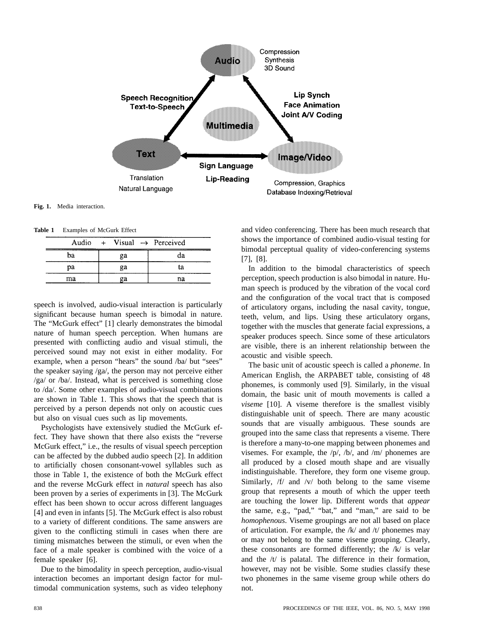

**Fig. 1.** Media interaction.

Table 1 Examples of McGurk Effect

|    |    | Audio + Visual $\rightarrow$ Perceived |
|----|----|----------------------------------------|
| ba | ga | da                                     |
| pа | ga | tа                                     |
| ma | эa | na                                     |

speech is involved, audio-visual interaction is particularly significant because human speech is bimodal in nature. The "McGurk effect" [1] clearly demonstrates the bimodal nature of human speech perception. When humans are presented with conflicting audio and visual stimuli, the perceived sound may not exist in either modality. For example, when a person "hears" the sound /ba/ but "sees" the speaker saying /ga/, the person may not perceive either /ga/ or /ba/. Instead, what is perceived is something close to /da/. Some other examples of audio-visual combinations are shown in Table 1. This shows that the speech that is perceived by a person depends not only on acoustic cues but also on visual cues such as lip movements.

Psychologists have extensively studied the McGurk effect. They have shown that there also exists the "reverse McGurk effect," i.e., the results of visual speech perception can be affected by the dubbed audio speech [2]. In addition to artificially chosen consonant-vowel syllables such as those in Table 1, the existence of both the McGurk effect and the reverse McGurk effect in *natural* speech has also been proven by a series of experiments in [3]. The McGurk effect has been shown to occur across different languages [4] and even in infants [5]. The McGurk effect is also robust to a variety of different conditions. The same answers are given to the conflicting stimuli in cases when there are timing mismatches between the stimuli, or even when the face of a male speaker is combined with the voice of a female speaker [6].

Due to the bimodality in speech perception, audio-visual interaction becomes an important design factor for multimodal communication systems, such as video telephony and video conferencing. There has been much research that shows the importance of combined audio-visual testing for bimodal perceptual quality of video-conferencing systems [7], [8].

In addition to the bimodal characteristics of speech perception, speech production is also bimodal in nature. Human speech is produced by the vibration of the vocal cord and the configuration of the vocal tract that is composed of articulatory organs, including the nasal cavity, tongue, teeth, velum, and lips. Using these articulatory organs, together with the muscles that generate facial expressions, a speaker produces speech. Since some of these articulators are visible, there is an inherent relationship between the acoustic and visible speech.

The basic unit of acoustic speech is called a *phoneme*. In American English, the ARPABET table, consisting of 48 phonemes, is commonly used [9]. Similarly, in the visual domain, the basic unit of mouth movements is called a *viseme* [10]. A viseme therefore is the smallest visibly distinguishable unit of speech. There are many acoustic sounds that are visually ambiguous. These sounds are grouped into the same class that represents a viseme. There is therefore a many-to-one mapping between phonemes and visemes. For example, the /p/, /b/, and /m/ phonemes are all produced by a closed mouth shape and are visually indistinguishable. Therefore, they form one viseme group. Similarly, /f/ and /v/ both belong to the same viseme group that represents a mouth of which the upper teeth are touching the lower lip. Different words that *appear* the same, e.g., "pad," "bat," and "man," are said to be *homophenous*. Viseme groupings are not all based on place of articulation. For example, the  $/k/$  and  $/t/$  phonemes may or may not belong to the same viseme grouping. Clearly, these consonants are formed differently; the /k/ is velar and the /t/ is palatal. The difference in their formation, however, may not be visible. Some studies classify these two phonemes in the same viseme group while others do not.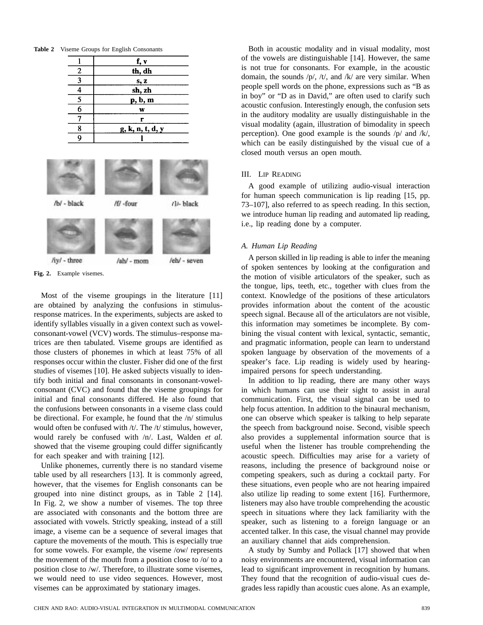

**Table 2** Viseme Groups for English Consonants

**Fig. 2.** Example visemes.

Most of the viseme groupings in the literature [11] are obtained by analyzing the confusions in stimulusresponse matrices. In the experiments, subjects are asked to identify syllables visually in a given context such as vowelconsonant-vowel (VCV) words. The stimulus–response matrices are then tabulated. Viseme groups are identified as those clusters of phonemes in which at least 75% of all responses occur within the cluster. Fisher did one of the first studies of visemes [10]. He asked subjects visually to identify both initial and final consonants in consonant-vowelconsonant (CVC) and found that the viseme groupings for initial and final consonants differed. He also found that the confusions between consonants in a viseme class could be directional. For example, he found that the /n/ stimulus would often be confused with /t/. The /t/ stimulus, however, would rarely be confused with /n/. Last, Walden *et al.* showed that the viseme grouping could differ significantly for each speaker and with training [12].

Unlike phonemes, currently there is no standard viseme table used by all researchers [13]. It is commonly agreed, however, that the visemes for English consonants can be grouped into nine distinct groups, as in Table 2 [14]. In Fig. 2, we show a number of visemes. The top three are associated with consonants and the bottom three are associated with vowels. Strictly speaking, instead of a still image, a viseme can be a sequence of several images that capture the movements of the mouth. This is especially true for some vowels. For example, the viseme /ow/ represents the movement of the mouth from a position close to /o/ to a position close to /w/. Therefore, to illustrate some visemes, we would need to use video sequences. However, most visemes can be approximated by stationary images.

Both in acoustic modality and in visual modality, most of the vowels are distinguishable [14]. However, the same is not true for consonants. For example, in the acoustic domain, the sounds  $/p/$ ,  $/t/$ , and  $/k/$  are very similar. When people spell words on the phone, expressions such as "B as in boy" or "D as in David," are often used to clarify such acoustic confusion. Interestingly enough, the confusion sets in the auditory modality are usually distinguishable in the visual modality (again, illustration of bimodality in speech perception). One good example is the sounds /p/ and /k/, which can be easily distinguished by the visual cue of a closed mouth versus an open mouth.

## III. LIP READING

A good example of utilizing audio-visual interaction for human speech communication is lip reading [15, pp. 73–107], also referred to as speech reading. In this section, we introduce human lip reading and automated lip reading, i.e., lip reading done by a computer.

## *A. Human Lip Reading*

A person skilled in lip reading is able to infer the meaning of spoken sentences by looking at the configuration and the motion of visible articulators of the speaker, such as the tongue, lips, teeth, etc., together with clues from the context. Knowledge of the positions of these articulators provides information about the content of the acoustic speech signal. Because all of the articulators are not visible, this information may sometimes be incomplete. By combining the visual content with lexical, syntactic, semantic, and pragmatic information, people can learn to understand spoken language by observation of the movements of a speaker's face. Lip reading is widely used by hearingimpaired persons for speech understanding.

In addition to lip reading, there are many other ways in which humans can use their sight to assist in aural communication. First, the visual signal can be used to help focus attention. In addition to the binaural mechanism, one can observe which speaker is talking to help separate the speech from background noise. Second, visible speech also provides a supplemental information source that is useful when the listener has trouble comprehending the acoustic speech. Difficulties may arise for a variety of reasons, including the presence of background noise or competing speakers, such as during a cocktail party. For these situations, even people who are not hearing impaired also utilize lip reading to some extent [16]. Furthermore, listeners may also have trouble comprehending the acoustic speech in situations where they lack familiarity with the speaker, such as listening to a foreign language or an accented talker. In this case, the visual channel may provide an auxiliary channel that aids comprehension.

A study by Sumby and Pollack [17] showed that when noisy environments are encountered, visual information can lead to significant improvement in recognition by humans. They found that the recognition of audio-visual cues degrades less rapidly than acoustic cues alone. As an example,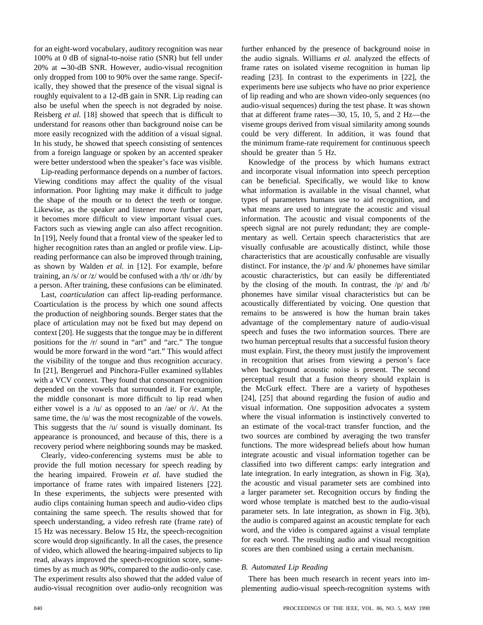for an eight-word vocabulary, auditory recognition was near 100% at 0 dB of signal-to-noise ratio (SNR) but fell under  $20\%$  at  $-30$ -dB SNR. However, audio-visual recognition only dropped from 100 to 90% over the same range. Specifically, they showed that the presence of the visual signal is roughly equivalent to a 12-dB gain in SNR. Lip reading can also be useful when the speech is not degraded by noise. Reisberg *et al.* [18] showed that speech that is difficult to understand for reasons other than background noise can be more easily recognized with the addition of a visual signal. In his study, he showed that speech consisting of sentences from a foreign language or spoken by an accented speaker were better understood when the speaker's face was visible.

Lip-reading performance depends on a number of factors. Viewing conditions may affect the quality of the visual information. Poor lighting may make it difficult to judge the shape of the mouth or to detect the teeth or tongue. Likewise, as the speaker and listener move further apart, it becomes more difficult to view important visual cues. Factors such as viewing angle can also affect recognition. In [19], Neely found that a frontal view of the speaker led to higher recognition rates than an angled or profile view. Lipreading performance can also be improved through training, as shown by Walden *et al.* in [12]. For example, before training, an /s/ or /z/ would be confused with a /th/ or /dh/ by a person. After training, these confusions can be eliminated.

Last, *coarticulation* can affect lip-reading performance. Coarticulation is the process by which one sound affects the production of neighboring sounds. Berger states that the place of articulation may not be fixed but may depend on context [20]. He suggests that the tongue may be in different positions for the /r/ sound in "art" and "arc." The tongue would be more forward in the word "art." This would affect the visibility of the tongue and thus recognition accuracy. In [21], Bengeruel and Pinchora-Fuller examined syllables with a VCV context. They found that consonant recognition depended on the vowels that surrounded it. For example, the middle consonant is more difficult to lip read when either vowel is a /u/ as opposed to an /ae/ or /i/. At the same time, the /u/ was the most recognizable of the vowels. This suggests that the  $/u$  sound is visually dominant. Its appearance is pronounced, and because of this, there is a recovery period where neighboring sounds may be masked.

Clearly, video-conferencing systems must be able to provide the full motion necessary for speech reading by the hearing impaired. Frowein *et al.* have studied the importance of frame rates with impaired listeners [22]. In these experiments, the subjects were presented with audio clips containing human speech and audio-video clips containing the same speech. The results showed that for speech understanding, a video refresh rate (frame rate) of 15 Hz was necessary. Below 15 Hz, the speech-recognition score would drop significantly. In all the cases, the presence of video, which allowed the hearing-impaired subjects to lip read, always improved the speech-recognition score, sometimes by as much as 90%, compared to the audio-only case. The experiment results also showed that the added value of audio-visual recognition over audio-only recognition was further enhanced by the presence of background noise in the audio signals. Williams *et al.* analyzed the effects of frame rates on isolated viseme recognition in human lip reading [23]. In contrast to the experiments in [22], the experiments here use subjects who have no prior experience of lip reading and who are shown video-only sequences (no audio-visual sequences) during the test phase. It was shown that at different frame rates—30, 15, 10, 5, and 2 Hz—the viseme groups derived from visual similarity among sounds could be very different. In addition, it was found that the minimum frame-rate requirement for continuous speech should be greater than 5 Hz.

Knowledge of the process by which humans extract and incorporate visual information into speech perception can be beneficial. Specifically, we would like to know what information is available in the visual channel, what types of parameters humans use to aid recognition, and what means are used to integrate the acoustic and visual information. The acoustic and visual components of the speech signal are not purely redundant; they are complementary as well. Certain speech characteristics that are visually confusable are acoustically distinct, while those characteristics that are acoustically confusable are visually distinct. For instance, the /p/ and /k/ phonemes have similar acoustic characteristics, but can easily be differentiated by the closing of the mouth. In contrast, the /p/ and /b/ phonemes have similar visual characteristics but can be acoustically differentiated by voicing. One question that remains to be answered is how the human brain takes advantage of the complementary nature of audio-visual speech and fuses the two information sources. There are two human perceptual results that a successful fusion theory must explain. First, the theory must justify the improvement in recognition that arises from viewing a person's face when background acoustic noise is present. The second perceptual result that a fusion theory should explain is the McGurk effect. There are a variety of hypotheses [24], [25] that abound regarding the fusion of audio and visual information. One supposition advocates a system where the visual information is instinctively converted to an estimate of the vocal-tract transfer function, and the two sources are combined by averaging the two transfer functions. The more widespread beliefs about how human integrate acoustic and visual information together can be classified into two different camps: early integration and late integration. In early integration, as shown in Fig. 3(a), the acoustic and visual parameter sets are combined into a larger parameter set. Recognition occurs by finding the word whose template is matched best to the audio-visual parameter sets. In late integration, as shown in Fig. 3(b), the audio is compared against an acoustic template for each word, and the video is compared against a visual template for each word. The resulting audio and visual recognition scores are then combined using a certain mechanism.

## *B. Automated Lip Reading*

There has been much research in recent years into implementing audio-visual speech-recognition systems with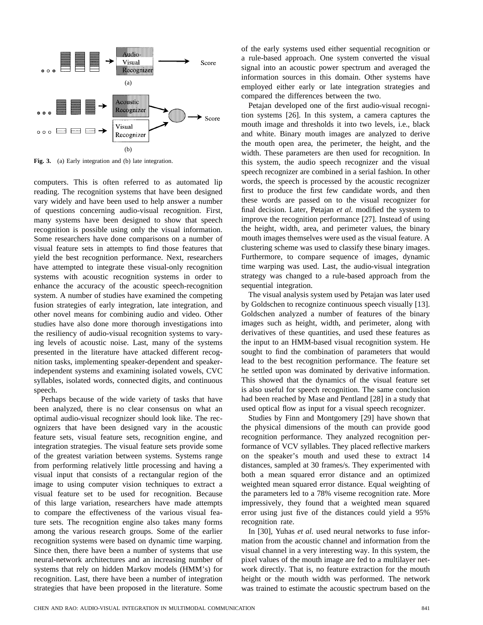

Fig. 3. (a) Early integration and (b) late integration.

computers. This is often referred to as automated lip reading. The recognition systems that have been designed vary widely and have been used to help answer a number of questions concerning audio-visual recognition. First, many systems have been designed to show that speech recognition is possible using only the visual information. Some researchers have done comparisons on a number of visual feature sets in attempts to find those features that yield the best recognition performance. Next, researchers have attempted to integrate these visual-only recognition systems with acoustic recognition systems in order to enhance the accuracy of the acoustic speech-recognition system. A number of studies have examined the competing fusion strategies of early integration, late integration, and other novel means for combining audio and video. Other studies have also done more thorough investigations into the resiliency of audio-visual recognition systems to varying levels of acoustic noise. Last, many of the systems presented in the literature have attacked different recognition tasks, implementing speaker-dependent and speakerindependent systems and examining isolated vowels, CVC syllables, isolated words, connected digits, and continuous speech.

Perhaps because of the wide variety of tasks that have been analyzed, there is no clear consensus on what an optimal audio-visual recognizer should look like. The recognizers that have been designed vary in the acoustic feature sets, visual feature sets, recognition engine, and integration strategies. The visual feature sets provide some of the greatest variation between systems. Systems range from performing relatively little processing and having a visual input that consists of a rectangular region of the image to using computer vision techniques to extract a visual feature set to be used for recognition. Because of this large variation, researchers have made attempts to compare the effectiveness of the various visual feature sets. The recognition engine also takes many forms among the various research groups. Some of the earlier recognition systems were based on dynamic time warping. Since then, there have been a number of systems that use neural-network architectures and an increasing number of systems that rely on hidden Markov models (HMM's) for recognition. Last, there have been a number of integration strategies that have been proposed in the literature. Some of the early systems used either sequential recognition or a rule-based approach. One system converted the visual signal into an acoustic power spectrum and averaged the information sources in this domain. Other systems have employed either early or late integration strategies and compared the differences between the two.

Petajan developed one of the first audio-visual recognition systems [26]. In this system, a camera captures the mouth image and thresholds it into two levels, i.e., black and white. Binary mouth images are analyzed to derive the mouth open area, the perimeter, the height, and the width. These parameters are then used for recognition. In this system, the audio speech recognizer and the visual speech recognizer are combined in a serial fashion. In other words, the speech is processed by the acoustic recognizer first to produce the first few candidate words, and then these words are passed on to the visual recognizer for final decision. Later, Petajan *et al.* modified the system to improve the recognition performance [27]. Instead of using the height, width, area, and perimeter values, the binary mouth images themselves were used as the visual feature. A clustering scheme was used to classify these binary images. Furthermore, to compare sequence of images, dynamic time warping was used. Last, the audio-visual integration strategy was changed to a rule-based approach from the sequential integration.

The visual analysis system used by Petajan was later used by Goldschen to recognize continuous speech visually [13]. Goldschen analyzed a number of features of the binary images such as height, width, and perimeter, along with derivatives of these quantities, and used these features as the input to an HMM-based visual recognition system. He sought to find the combination of parameters that would lead to the best recognition performance. The feature set he settled upon was dominated by derivative information. This showed that the dynamics of the visual feature set is also useful for speech recognition. The same conclusion had been reached by Mase and Pentland [28] in a study that used optical flow as input for a visual speech recognizer.

Studies by Finn and Montgomery [29] have shown that the physical dimensions of the mouth can provide good recognition performance. They analyzed recognition performance of VCV syllables. They placed reflective markers on the speaker's mouth and used these to extract 14 distances, sampled at 30 frames/s. They experimented with both a mean squared error distance and an optimized weighted mean squared error distance. Equal weighting of the parameters led to a 78% viseme recognition rate. More impressively, they found that a weighted mean squared error using just five of the distances could yield a 95% recognition rate.

In [30], Yuhas *et al.* used neural networks to fuse information from the acoustic channel and information from the visual channel in a very interesting way. In this system, the pixel values of the mouth image are fed to a multilayer network directly. That is, no feature extraction for the mouth height or the mouth width was performed. The network was trained to estimate the acoustic spectrum based on the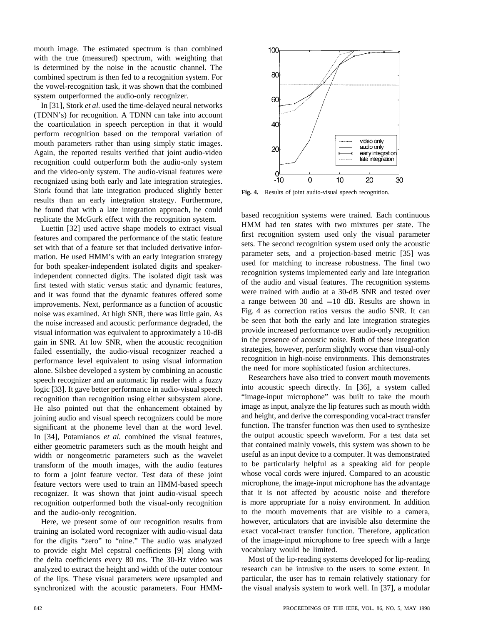mouth image. The estimated spectrum is than combined with the true (measured) spectrum, with weighting that is determined by the noise in the acoustic channel. The combined spectrum is then fed to a recognition system. For the vowel-recognition task, it was shown that the combined system outperformed the audio-only recognizer.

In [31], Stork *et al.* used the time-delayed neural networks (TDNN's) for recognition. A TDNN can take into account the coarticulation in speech perception in that it would perform recognition based on the temporal variation of mouth parameters rather than using simply static images. Again, the reported results verified that joint audio-video recognition could outperform both the audio-only system and the video-only system. The audio-visual features were recognized using both early and late integration strategies. Stork found that late integration produced slightly better results than an early integration strategy. Furthermore, he found that with a late integration approach, he could replicate the McGurk effect with the recognition system.

Luettin [32] used active shape models to extract visual features and compared the performance of the static feature set with that of a feature set that included derivative information. He used HMM's with an early integration strategy for both speaker-independent isolated digits and speakerindependent connected digits. The isolated digit task was first tested with static versus static and dynamic features, and it was found that the dynamic features offered some improvements. Next, performance as a function of acoustic noise was examined. At high SNR, there was little gain. As the noise increased and acoustic performance degraded, the visual information was equivalent to approximately a 10-dB gain in SNR. At low SNR, when the acoustic recognition failed essentially, the audio-visual recognizer reached a performance level equivalent to using visual information alone. Silsbee developed a system by combining an acoustic speech recognizer and an automatic lip reader with a fuzzy logic [33]. It gave better performance in audio-visual speech recognition than recognition using either subsystem alone. He also pointed out that the enhancement obtained by joining audio and visual speech recognizers could be more significant at the phoneme level than at the word level. In [34], Potamianos *et al.* combined the visual features, either geometric parameters such as the mouth height and width or nongeometric parameters such as the wavelet transform of the mouth images, with the audio features to form a joint feature vector. Test data of these joint feature vectors were used to train an HMM-based speech recognizer. It was shown that joint audio-visual speech recognition outperformed both the visual-only recognition and the audio-only recognition.

Here, we present some of our recognition results from training an isolated word recognizer with audio-visual data for the digits "zero" to "nine." The audio was analyzed to provide eight Mel cepstral coefficients [9] along with the delta coefficients every 80 ms. The 30-Hz video was analyzed to extract the height and width of the outer contour of the lips. These visual parameters were upsampled and synchronized with the acoustic parameters. Four HMM-



**Fig. 4.** Results of joint audio-visual speech recognition.

based recognition systems were trained. Each continuous HMM had ten states with two mixtures per state. The first recognition system used only the visual parameter sets. The second recognition system used only the acoustic parameter sets, and a projection-based metric [35] was used for matching to increase robustness. The final two recognition systems implemented early and late integration of the audio and visual features. The recognition systems were trained with audio at a 30-dB SNR and tested over a range between  $30$  and  $-10$  dB. Results are shown in Fig. 4 as correction ratios versus the audio SNR. It can be seen that both the early and late integration strategies provide increased performance over audio-only recognition in the presence of acoustic noise. Both of these integration strategies, however, perform slightly worse than visual-only recognition in high-noise environments. This demonstrates the need for more sophisticated fusion architectures.

Researchers have also tried to convert mouth movements into acoustic speech directly. In [36], a system called "image-input microphone" was built to take the mouth image as input, analyze the lip features such as mouth width and height, and derive the corresponding vocal-tract transfer function. The transfer function was then used to synthesize the output acoustic speech waveform. For a test data set that contained mainly vowels, this system was shown to be useful as an input device to a computer. It was demonstrated to be particularly helpful as a speaking aid for people whose vocal cords were injured. Compared to an acoustic microphone, the image-input microphone has the advantage that it is not affected by acoustic noise and therefore is more appropriate for a noisy environment. In addition to the mouth movements that are visible to a camera, however, articulators that are invisible also determine the exact vocal-tract transfer function. Therefore, application of the image-input microphone to free speech with a large vocabulary would be limited.

Most of the lip-reading systems developed for lip-reading research can be intrusive to the users to some extent. In particular, the user has to remain relatively stationary for the visual analysis system to work well. In [37], a modular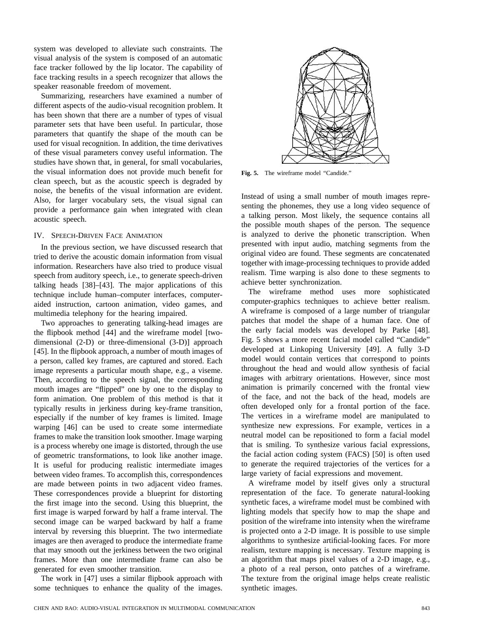system was developed to alleviate such constraints. The visual analysis of the system is composed of an automatic face tracker followed by the lip locator. The capability of face tracking results in a speech recognizer that allows the speaker reasonable freedom of movement.

Summarizing, researchers have examined a number of different aspects of the audio-visual recognition problem. It has been shown that there are a number of types of visual parameter sets that have been useful. In particular, those parameters that quantify the shape of the mouth can be used for visual recognition. In addition, the time derivatives of these visual parameters convey useful information. The studies have shown that, in general, for small vocabularies, the visual information does not provide much benefit for clean speech, but as the acoustic speech is degraded by noise, the benefits of the visual information are evident. Also, for larger vocabulary sets, the visual signal can provide a performance gain when integrated with clean acoustic speech.

## IV. SPEECH-DRIVEN FACE ANIMATION

In the previous section, we have discussed research that tried to derive the acoustic domain information from visual information. Researchers have also tried to produce visual speech from auditory speech, i.e., to generate speech-driven talking heads [38]–[43]. The major applications of this technique include human–computer interfaces, computeraided instruction, cartoon animation, video games, and multimedia telephony for the hearing impaired.

Two approaches to generating talking-head images are the flipbook method [44] and the wireframe model [twodimensional (2-D) or three-dimensional (3-D)] approach [45]. In the flipbook approach, a number of mouth images of a person, called key frames, are captured and stored. Each image represents a particular mouth shape, e.g., a viseme. Then, according to the speech signal, the corresponding mouth images are "flipped" one by one to the display to form animation. One problem of this method is that it typically results in jerkiness during key-frame transition, especially if the number of key frames is limited. Image warping [46] can be used to create some intermediate frames to make the transition look smoother. Image warping is a process whereby one image is distorted, through the use of geometric transformations, to look like another image. It is useful for producing realistic intermediate images between video frames. To accomplish this, correspondences are made between points in two adjacent video frames. These correspondences provide a blueprint for distorting the first image into the second. Using this blueprint, the first image is warped forward by half a frame interval. The second image can be warped backward by half a frame interval by reversing this blueprint. The two intermediate images are then averaged to produce the intermediate frame that may smooth out the jerkiness between the two original frames. More than one intermediate frame can also be generated for even smoother transition.

The work in [47] uses a similar flipbook approach with some techniques to enhance the quality of the images.



**Fig. 5.** The wireframe model "Candide."

Instead of using a small number of mouth images representing the phonemes, they use a long video sequence of a talking person. Most likely, the sequence contains all the possible mouth shapes of the person. The sequence is analyzed to derive the phonetic transcription. When presented with input audio, matching segments from the original video are found. These segments are concatenated together with image-processing techniques to provide added realism. Time warping is also done to these segments to achieve better synchronization.

The wireframe method uses more sophisticated computer-graphics techniques to achieve better realism. A wireframe is composed of a large number of triangular patches that model the shape of a human face. One of the early facial models was developed by Parke [48]. Fig. 5 shows a more recent facial model called "Candide" developed at Linkoping University [49]. A fully 3-D model would contain vertices that correspond to points throughout the head and would allow synthesis of facial images with arbitrary orientations. However, since most animation is primarily concerned with the frontal view of the face, and not the back of the head, models are often developed only for a frontal portion of the face. The vertices in a wireframe model are manipulated to synthesize new expressions. For example, vertices in a neutral model can be repositioned to form a facial model that is smiling. To synthesize various facial expressions, the facial action coding system (FACS) [50] is often used to generate the required trajectories of the vertices for a large variety of facial expressions and movement.

A wireframe model by itself gives only a structural representation of the face. To generate natural-looking synthetic faces, a wireframe model must be combined with lighting models that specify how to map the shape and position of the wireframe into intensity when the wireframe is projected onto a 2-D image. It is possible to use simple algorithms to synthesize artificial-looking faces. For more realism, texture mapping is necessary. Texture mapping is an algorithm that maps pixel values of a 2-D image, e.g., a photo of a real person, onto patches of a wireframe. The texture from the original image helps create realistic synthetic images.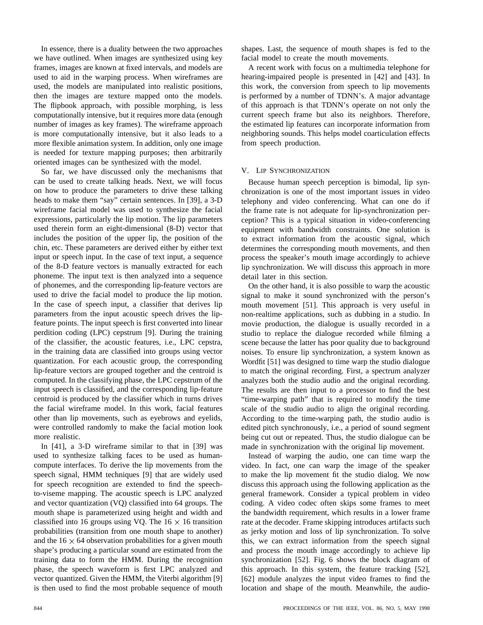In essence, there is a duality between the two approaches we have outlined. When images are synthesized using key frames, images are known at fixed intervals, and models are used to aid in the warping process. When wireframes are used, the models are manipulated into realistic positions, then the images are texture mapped onto the models. The flipbook approach, with possible morphing, is less computationally intensive, but it requires more data (enough number of images as key frames). The wireframe approach is more computationally intensive, but it also leads to a more flexible animation system. In addition, only one image is needed for texture mapping purposes; then arbitrarily oriented images can be synthesized with the model.

So far, we have discussed only the mechanisms that can be used to create talking heads. Next, we will focus on how to produce the parameters to drive these talking heads to make them "say" certain sentences. In [39], a 3-D wireframe facial model was used to synthesize the facial expressions, particularly the lip motion. The lip parameters used therein form an eight-dimensional (8-D) vector that includes the position of the upper lip, the position of the chin, etc. These parameters are derived either by either text input or speech input. In the case of text input, a sequence of the 8-D feature vectors is manually extracted for each phoneme. The input text is then analyzed into a sequence of phonemes, and the corresponding lip-feature vectors are used to drive the facial model to produce the lip motion. In the case of speech input, a classifier that derives lip parameters from the input acoustic speech drives the lipfeature points. The input speech is first converted into linear perdition coding (LPC) cepstrum [9]. During the training of the classifier, the acoustic features, i.e., LPC cepstra, in the training data are classified into groups using vector quantization. For each acoustic group, the corresponding lip-feature vectors are grouped together and the centroid is computed. In the classifying phase, the LPC cepstrum of the input speech is classified, and the corresponding lip-feature centroid is produced by the classifier which in turns drives the facial wireframe model. In this work, facial features other than lip movements, such as eyebrows and eyelids, were controlled randomly to make the facial motion look more realistic.

In [41], a 3-D wireframe similar to that in [39] was used to synthesize talking faces to be used as humancompute interfaces. To derive the lip movements from the speech signal, HMM techniques [9] that are widely used for speech recognition are extended to find the speechto-viseme mapping. The acoustic speech is LPC analyzed and vector quantization (VQ) classified into 64 groups. The mouth shape is parameterized using height and width and classified into 16 groups using VQ. The  $16 \times 16$  transition probabilities (transition from one mouth shape to another) and the  $16 \times 64$  observation probabilities for a given mouth shape's producing a particular sound are estimated from the training data to form the HMM. During the recognition phase, the speech waveform is first LPC analyzed and vector quantized. Given the HMM, the Viterbi algorithm [9] is then used to find the most probable sequence of mouth shapes. Last, the sequence of mouth shapes is fed to the facial model to create the mouth movements.

A recent work with focus on a multimedia telephone for hearing-impaired people is presented in [42] and [43]. In this work, the conversion from speech to lip movements is performed by a number of TDNN's. A major advantage of this approach is that TDNN's operate on not only the current speech frame but also its neighbors. Therefore, the estimated lip features can incorporate information from neighboring sounds. This helps model coarticulation effects from speech production.

## V. LIP SYNCHRONIZATION

Because human speech perception is bimodal, lip synchronization is one of the most important issues in video telephony and video conferencing. What can one do if the frame rate is not adequate for lip-synchronization perception? This is a typical situation in video-conferencing equipment with bandwidth constraints. One solution is to extract information from the acoustic signal, which determines the corresponding mouth movements, and then process the speaker's mouth image accordingly to achieve lip synchronization. We will discuss this approach in more detail later in this section.

On the other hand, it is also possible to warp the acoustic signal to make it sound synchronized with the person's mouth movement [51]. This approach is very useful in non-realtime applications, such as dubbing in a studio. In movie production, the dialogue is usually recorded in a studio to replace the dialogue recorded while filming a scene because the latter has poor quality due to background noises. To ensure lip synchronization, a system known as Wordfit [51] was designed to time warp the studio dialogue to match the original recording. First, a spectrum analyzer analyzes both the studio audio and the original recording. The results are then input to a processor to find the best "time-warping path" that is required to modify the time scale of the studio audio to align the original recording. According to the time-warping path, the studio audio is edited pitch synchronously, i.e., a period of sound segment being cut out or repeated. Thus, the studio dialogue can be made in synchronization with the original lip movement.

Instead of warping the audio, one can time warp the video. In fact, one can warp the image of the speaker to make the lip movement fit the studio dialog. We now discuss this approach using the following application as the general framework. Consider a typical problem in video coding. A video codec often skips some frames to meet the bandwidth requirement, which results in a lower frame rate at the decoder. Frame skipping introduces artifacts such as jerky motion and loss of lip synchronization. To solve this, we can extract information from the speech signal and process the mouth image accordingly to achieve lip synchronization [52]. Fig. 6 shows the block diagram of this approach. In this system, the feature tracking [52], [62] module analyzes the input video frames to find the location and shape of the mouth. Meanwhile, the audio-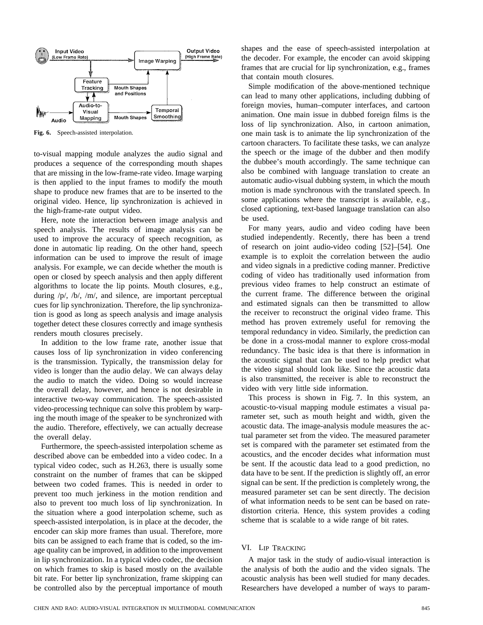

**Fig. 6.** Speech-assisted interpolation.

to-visual mapping module analyzes the audio signal and produces a sequence of the corresponding mouth shapes that are missing in the low-frame-rate video. Image warping is then applied to the input frames to modify the mouth shape to produce new frames that are to be inserted to the original video. Hence, lip synchronization is achieved in the high-frame-rate output video.

Here, note the interaction between image analysis and speech analysis. The results of image analysis can be used to improve the accuracy of speech recognition, as done in automatic lip reading. On the other hand, speech information can be used to improve the result of image analysis. For example, we can decide whether the mouth is open or closed by speech analysis and then apply different algorithms to locate the lip points. Mouth closures, e.g., during /p/, /b/, /m/, and silence, are important perceptual cues for lip synchronization. Therefore, the lip synchronization is good as long as speech analysis and image analysis together detect these closures correctly and image synthesis renders mouth closures precisely.

In addition to the low frame rate, another issue that causes loss of lip synchronization in video conferencing is the transmission. Typically, the transmission delay for video is longer than the audio delay. We can always delay the audio to match the video. Doing so would increase the overall delay, however, and hence is not desirable in interactive two-way communication. The speech-assisted video-processing technique can solve this problem by warping the mouth image of the speaker to be synchronized with the audio. Therefore, effectively, we can actually decrease the overall delay.

Furthermore, the speech-assisted interpolation scheme as described above can be embedded into a video codec. In a typical video codec, such as H.263, there is usually some constraint on the number of frames that can be skipped between two coded frames. This is needed in order to prevent too much jerkiness in the motion rendition and also to prevent too much loss of lip synchronization. In the situation where a good interpolation scheme, such as speech-assisted interpolation, is in place at the decoder, the encoder can skip more frames than usual. Therefore, more bits can be assigned to each frame that is coded, so the image quality can be improved, in addition to the improvement in lip synchronization. In a typical video codec, the decision on which frames to skip is based mostly on the available bit rate. For better lip synchronization, frame skipping can be controlled also by the perceptual importance of mouth shapes and the ease of speech-assisted interpolation at the decoder. For example, the encoder can avoid skipping frames that are crucial for lip synchronization, e.g., frames that contain mouth closures.

Simple modification of the above-mentioned technique can lead to many other applications, including dubbing of foreign movies, human–computer interfaces, and cartoon animation. One main issue in dubbed foreign films is the loss of lip synchronization. Also, in cartoon animation, one main task is to animate the lip synchronization of the cartoon characters. To facilitate these tasks, we can analyze the speech or the image of the dubber and then modify the dubbee's mouth accordingly. The same technique can also be combined with language translation to create an automatic audio-visual dubbing system, in which the mouth motion is made synchronous with the translated speech. In some applications where the transcript is available, e.g., closed captioning, text-based language translation can also be used.

For many years, audio and video coding have been studied independently. Recently, there has been a trend of research on joint audio-video coding [52]–[54]. One example is to exploit the correlation between the audio and video signals in a predictive coding manner. Predictive coding of video has traditionally used information from previous video frames to help construct an estimate of the current frame. The difference between the original and estimated signals can then be transmitted to allow the receiver to reconstruct the original video frame. This method has proven extremely useful for removing the temporal redundancy in video. Similarly, the prediction can be done in a cross-modal manner to explore cross-modal redundancy. The basic idea is that there is information in the acoustic signal that can be used to help predict what the video signal should look like. Since the acoustic data is also transmitted, the receiver is able to reconstruct the video with very little side information.

This process is shown in Fig. 7. In this system, an acoustic-to-visual mapping module estimates a visual parameter set, such as mouth height and width, given the acoustic data. The image-analysis module measures the actual parameter set from the video. The measured parameter set is compared with the parameter set estimated from the acoustics, and the encoder decides what information must be sent. If the acoustic data lead to a good prediction, no data have to be sent. If the prediction is slightly off, an error signal can be sent. If the prediction is completely wrong, the measured parameter set can be sent directly. The decision of what information needs to be sent can be based on ratedistortion criteria. Hence, this system provides a coding scheme that is scalable to a wide range of bit rates.

## VI. LIP TRACKING

A major task in the study of audio-visual interaction is the analysis of both the audio and the video signals. The acoustic analysis has been well studied for many decades. Researchers have developed a number of ways to param-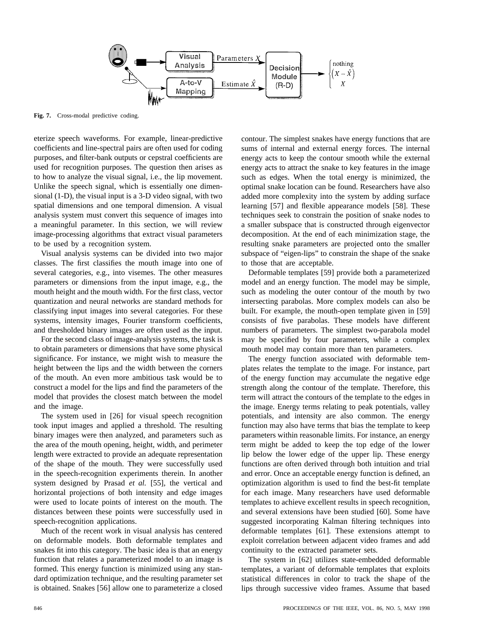

**Fig. 7.** Cross-modal predictive coding.

eterize speech waveforms. For example, linear-predictive coefficients and line-spectral pairs are often used for coding purposes, and filter-bank outputs or cepstral coefficients are used for recognition purposes. The question then arises as to how to analyze the visual signal, i.e., the lip movement. Unlike the speech signal, which is essentially one dimensional (1-D), the visual input is a 3-D video signal, with two spatial dimensions and one temporal dimension. A visual analysis system must convert this sequence of images into a meaningful parameter. In this section, we will review image-processing algorithms that extract visual parameters to be used by a recognition system.

Visual analysis systems can be divided into two major classes. The first classifies the mouth image into one of several categories, e.g., into visemes. The other measures parameters or dimensions from the input image, e.g., the mouth height and the mouth width. For the first class, vector quantization and neural networks are standard methods for classifying input images into several categories. For these systems, intensity images, Fourier transform coefficients, and thresholded binary images are often used as the input.

For the second class of image-analysis systems, the task is to obtain parameters or dimensions that have some physical significance. For instance, we might wish to measure the height between the lips and the width between the corners of the mouth. An even more ambitious task would be to construct a model for the lips and find the parameters of the model that provides the closest match between the model and the image.

The system used in [26] for visual speech recognition took input images and applied a threshold. The resulting binary images were then analyzed, and parameters such as the area of the mouth opening, height, width, and perimeter length were extracted to provide an adequate representation of the shape of the mouth. They were successfully used in the speech-recognition experiments therein. In another system designed by Prasad *et al.* [55], the vertical and horizontal projections of both intensity and edge images were used to locate points of interest on the mouth. The distances between these points were successfully used in speech-recognition applications.

Much of the recent work in visual analysis has centered on deformable models. Both deformable templates and snakes fit into this category. The basic idea is that an energy function that relates a parameterized model to an image is formed. This energy function is minimized using any standard optimization technique, and the resulting parameter set is obtained. Snakes [56] allow one to parameterize a closed contour. The simplest snakes have energy functions that are sums of internal and external energy forces. The internal energy acts to keep the contour smooth while the external energy acts to attract the snake to key features in the image such as edges. When the total energy is minimized, the optimal snake location can be found. Researchers have also added more complexity into the system by adding surface learning [57] and flexible appearance models [58]. These techniques seek to constrain the position of snake nodes to a smaller subspace that is constructed through eigenvector decomposition. At the end of each minimization stage, the resulting snake parameters are projected onto the smaller subspace of "eigen-lips" to constrain the shape of the snake to those that are acceptable.

Deformable templates [59] provide both a parameterized model and an energy function. The model may be simple, such as modeling the outer contour of the mouth by two intersecting parabolas. More complex models can also be built. For example, the mouth-open template given in [59] consists of five parabolas. These models have different numbers of parameters. The simplest two-parabola model may be specified by four parameters, while a complex mouth model may contain more than ten parameters.

The energy function associated with deformable templates relates the template to the image. For instance, part of the energy function may accumulate the negative edge strength along the contour of the template. Therefore, this term will attract the contours of the template to the edges in the image. Energy terms relating to peak potentials, valley potentials, and intensity are also common. The energy function may also have terms that bias the template to keep parameters within reasonable limits. For instance, an energy term might be added to keep the top edge of the lower lip below the lower edge of the upper lip. These energy functions are often derived through both intuition and trial and error. Once an acceptable energy function is defined, an optimization algorithm is used to find the best-fit template for each image. Many researchers have used deformable templates to achieve excellent results in speech recognition, and several extensions have been studied [60]. Some have suggested incorporating Kalman filtering techniques into deformable templates [61]. These extensions attempt to exploit correlation between adjacent video frames and add continuity to the extracted parameter sets.

The system in [62] utilizes state-embedded deformable templates, a variant of deformable templates that exploits statistical differences in color to track the shape of the lips through successive video frames. Assume that based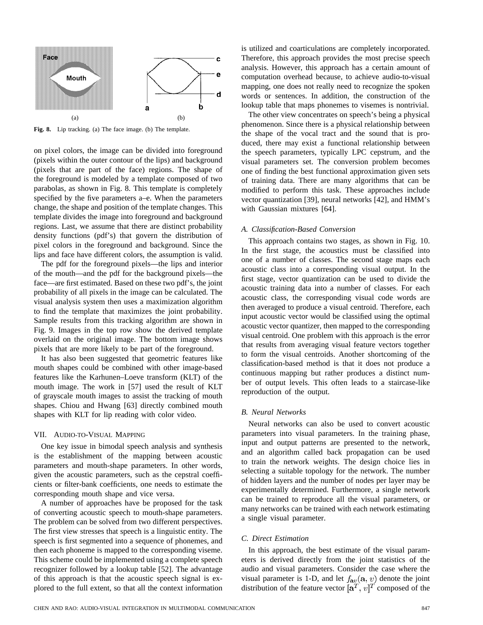

**Fig. 8.** Lip tracking. (a) The face image. (b) The template.

on pixel colors, the image can be divided into foreground (pixels within the outer contour of the lips) and background (pixels that are part of the face) regions. The shape of the foreground is modeled by a template composed of two parabolas, as shown in Fig. 8. This template is completely specified by the five parameters a–e. When the parameters change, the shape and position of the template changes. This template divides the image into foreground and background regions. Last, we assume that there are distinct probability density functions (pdf's) that govern the distribution of pixel colors in the foreground and background. Since the lips and face have different colors, the assumption is valid.

The pdf for the foreground pixels—the lips and interior of the mouth—and the pdf for the background pixels—the face—are first estimated. Based on these two pdf's, the joint probability of all pixels in the image can be calculated. The visual analysis system then uses a maximization algorithm to find the template that maximizes the joint probability. Sample results from this tracking algorithm are shown in Fig. 9. Images in the top row show the derived template overlaid on the original image. The bottom image shows pixels that are more likely to be part of the foreground.

It has also been suggested that geometric features like mouth shapes could be combined with other image-based features like the Karhunen–Loeve transform (KLT) of the mouth image. The work in [57] used the result of KLT of grayscale mouth images to assist the tracking of mouth shapes. Chiou and Hwang [63] directly combined mouth shapes with KLT for lip reading with color video.

#### VII. AUDIO-TO-VISUAL MAPPING

One key issue in bimodal speech analysis and synthesis is the establishment of the mapping between acoustic parameters and mouth-shape parameters. In other words, given the acoustic parameters, such as the cepstral coefficients or filter-bank coefficients, one needs to estimate the corresponding mouth shape and vice versa.

A number of approaches have be proposed for the task of converting acoustic speech to mouth-shape parameters. The problem can be solved from two different perspectives. The first view stresses that speech is a linguistic entity. The speech is first segmented into a sequence of phonemes, and then each phoneme is mapped to the corresponding viseme. This scheme could be implemented using a complete speech recognizer followed by a lookup table [52]. The advantage of this approach is that the acoustic speech signal is explored to the full extent, so that all the context information

is utilized and coarticulations are completely incorporated. Therefore, this approach provides the most precise speech analysis. However, this approach has a certain amount of computation overhead because, to achieve audio-to-visual mapping, one does not really need to recognize the spoken words or sentences. In addition, the construction of the lookup table that maps phonemes to visemes is nontrivial.

The other view concentrates on speech's being a physical phenomenon. Since there is a physical relationship between the shape of the vocal tract and the sound that is produced, there may exist a functional relationship between the speech parameters, typically LPC cepstrum, and the visual parameters set. The conversion problem becomes one of finding the best functional approximation given sets of training data. There are many algorithms that can be modified to perform this task. These approaches include vector quantization [39], neural networks [42], and HMM's with Gaussian mixtures [64].

## *A. Classification-Based Conversion*

This approach contains two stages, as shown in Fig. 10. In the first stage, the acoustics must be classified into one of a number of classes. The second stage maps each acoustic class into a corresponding visual output. In the first stage, vector quantization can be used to divide the acoustic training data into a number of classes. For each acoustic class, the corresponding visual code words are then averaged to produce a visual centroid. Therefore, each input acoustic vector would be classified using the optimal acoustic vector quantizer, then mapped to the corresponding visual centroid. One problem with this approach is the error that results from averaging visual feature vectors together to form the visual centroids. Another shortcoming of the classification-based method is that it does not produce a continuous mapping but rather produces a distinct number of output levels. This often leads to a staircase-like reproduction of the output.

## *B. Neural Networks*

Neural networks can also be used to convert acoustic parameters into visual parameters. In the training phase, input and output patterns are presented to the network, and an algorithm called back propagation can be used to train the network weights. The design choice lies in selecting a suitable topology for the network. The number of hidden layers and the number of nodes per layer may be experimentally determined. Furthermore, a single network can be trained to reproduce all the visual parameters, or many networks can be trained with each network estimating a single visual parameter.

## *C. Direct Estimation*

In this approach, the best estimate of the visual parameters is derived directly from the joint statistics of the audio and visual parameters. Consider the case where the visual parameter is 1-D, and let  $f_{av}(\mathbf{a}, v)$  denote the joint distribution of the feature vector  $[\mathbf{a}^T, v]^T$  composed of the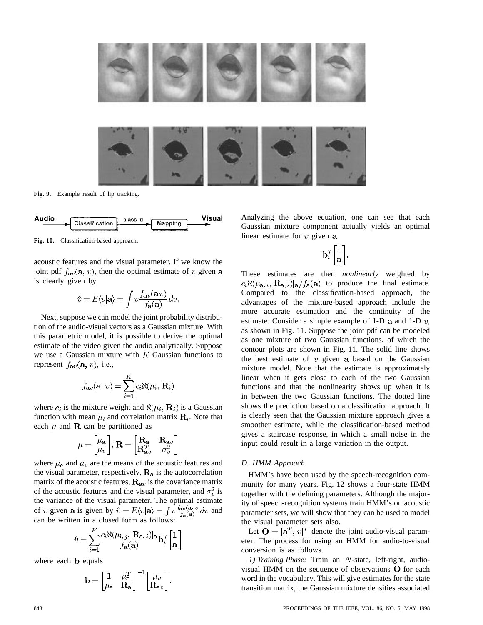

**Fig. 9.** Example result of lip tracking.



**Fig. 10.** Classification-based approach.

acoustic features and the visual parameter. If we know the joint pdf  $f_{av}(\mathbf{a}, v)$ , then the optimal estimate of v given a is clearly given by

$$
\hat{v} = E\langle v | \mathbf{a} \rangle = \int v \frac{f_{\mathbf{a}v}(\mathbf{a} \, v)}{f_{\mathbf{a}}(\mathbf{a})} \, dv.
$$

Next, suppose we can model the joint probability distribution of the audio-visual vectors as a Gaussian mixture. With this parametric model, it is possible to derive the optimal estimate of the video given the audio analytically. Suppose we use a Gaussian mixture with  $K$  Gaussian functions to represent  $f_{av}(\mathbf{a}, v)$ , i.e.,

$$
f_{\mathbf{a}\nu}(\mathbf{a}, v) = \sum_{i=1}^{K} c_i \aleph(\mu_i, \mathbf{R}_i)
$$

where  $c_i$  is the mixture weight and  $\aleph(\mu_i, \mathbf{R}_i)$  is a Gaussian function with mean  $\mu_i$  and correlation matrix  $\mathbf{R}_i$ . Note that each  $\mu$  and **R** can be partitioned as

$$
\mu = \begin{bmatrix} \mu_{\mathbf{a}} \\ \mu_{v} \end{bmatrix}, \ \mathbf{R} = \begin{bmatrix} \mathbf{R}_{\mathbf{a}} & \mathbf{R}_{\mathbf{a}v} \\ \mathbf{R}_{\mathbf{a}v}^T & \sigma_v^2 \end{bmatrix}
$$

where  $\mu_a$  and  $\mu_v$  are the means of the acoustic features and the visual parameter, respectively,  $\mathbf{R}_{a}$  is the autocorrelation matrix of the acoustic features,  $\mathbf{R}_{av}$  is the covariance matrix of the acoustic features and the visual parameter, and  $\sigma_v^2$  is the variance of the visual parameter. The optimal estimate of v given a is given by  $\hat{v} = E\langle v | \mathbf{a} \rangle = \int v \frac{f_{\mathbf{a}v}(\mathbf{a}, v)}{f_{\mathbf{a}}(\mathbf{a})} dv$  and can be written in a closed form as follows:

$$
\hat{v} = \sum_{i=1}^{K} \frac{c_i \aleph(\mu_{\mathbf{i},j}, \mathbf{R}_{\mathbf{a},i})|_{\mathbf{a}}}{f_{\mathbf{a}}(\mathbf{a})} \mathbf{b}_i^T \begin{bmatrix} 1\\ \mathbf{a} \end{bmatrix}
$$

where each **b** equals

$$
\mathbf{b} = \begin{bmatrix} 1 & \mu_{\mathbf{a}}^T \\ \mu_{\mathbf{a}} & \mathbf{R}_{\mathbf{a}} \end{bmatrix}^{-1} \begin{bmatrix} \mu_v \\ \mathbf{R}_{\mathbf{a}v} \end{bmatrix}.
$$

Analyzing the above equation, one can see that each Gaussian mixture component actually yields an optimal linear estimate for  $v$  given  $a$ 

$$
\mathbf{b}_i^T \begin{bmatrix} 1 \\ \mathbf{a} \end{bmatrix}.
$$

These estimates are then *nonlinearly* weighted by  $c_i \aleph(\mu_{\mathbf{a},i}, \mathbf{R}_{\mathbf{a},i}) |\mathbf{a}/f_{\mathbf{a}}(\mathbf{a})$  to produce the final estimate. Compared to the classification-based approach, the advantages of the mixture-based approach include the more accurate estimation and the continuity of the estimate. Consider a simple example of 1-D  $a$  and 1-D  $v$ , as shown in Fig. 11. Suppose the joint pdf can be modeled as one mixture of two Gaussian functions, of which the contour plots are shown in Fig. 11. The solid line shows the best estimate of  $v$  given a based on the Gaussian mixture model. Note that the estimate is approximately linear when it gets close to each of the two Gaussian functions and that the nonlinearity shows up when it is in between the two Gaussian functions. The dotted line shows the prediction based on a classification approach. It is clearly seen that the Gaussian mixture approach gives a smoother estimate, while the classification-based method gives a staircase response, in which a small noise in the input could result in a large variation in the output.

## *D. HMM Approach*

HMM's have been used by the speech-recognition community for many years. Fig. 12 shows a four-state HMM together with the defining parameters. Although the majority of speech-recognition systems train HMM's on acoustic parameter sets, we will show that they can be used to model the visual parameter sets also.

Let  $\mathbf{O} = [\mathbf{a}^T, v]^T$  denote the joint audio-visual parameter. The process for using an HMM for audio-to-visual conversion is as follows.

*1) Training Phase:* Train an N-state, left-right, audiovisual HMM on the sequence of observations  $O$  for each word in the vocabulary. This will give estimates for the state transition matrix, the Gaussian mixture densities associated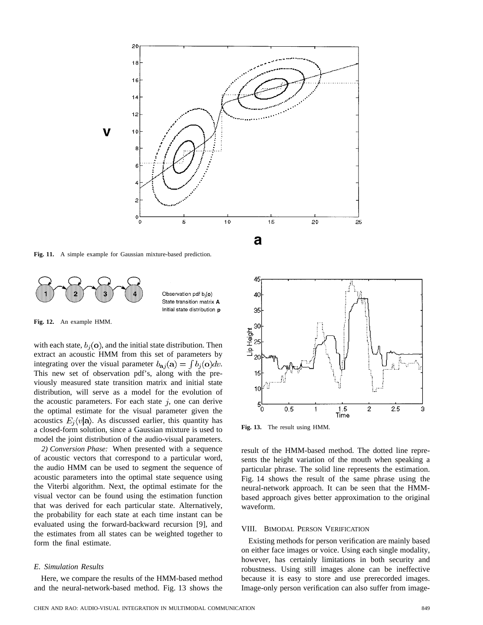

**Fig. 11.** A simple example for Gaussian mixture-based prediction.



Observation pdf b<sub>i</sub>(o) State transition matrix A Initial state distribution p

**Fig. 12.** An example HMM.

with each state,  $b_i(\mathbf{o})$ , and the initial state distribution. Then extract an acoustic HMM from this set of parameters by integrating over the visual parameter  $b_{aj}(\mathbf{a}) = \int b_j(\mathbf{o}) dv$ . This new set of observation pdf's, along with the previously measured state transition matrix and initial state distribution, will serve as a model for the evolution of the acoustic parameters. For each state  $i$ , one can derive the optimal estimate for the visual parameter given the acoustics  $E_i \langle v | \mathbf{a} \rangle$ . As discussed earlier, this quantity has a closed-form solution, since a Gaussian mixture is used to model the joint distribution of the audio-visual parameters.

*2) Conversion Phase:* When presented with a sequence of acoustic vectors that correspond to a particular word, the audio HMM can be used to segment the sequence of acoustic parameters into the optimal state sequence using the Viterbi algorithm. Next, the optimal estimate for the visual vector can be found using the estimation function that was derived for each particular state. Alternatively, the probability for each state at each time instant can be evaluated using the forward-backward recursion [9], and the estimates from all states can be weighted together to form the final estimate.

#### *E. Simulation Results*

Here, we compare the results of the HMM-based method and the neural-network-based method. Fig. 13 shows the



**Fig. 13.** The result using HMM.

result of the HMM-based method. The dotted line represents the height variation of the mouth when speaking a particular phrase. The solid line represents the estimation. Fig. 14 shows the result of the same phrase using the neural-network approach. It can be seen that the HMMbased approach gives better approximation to the original waveform.

## VIII. BIMODAL PERSON VERIFICATION

Existing methods for person verification are mainly based on either face images or voice. Using each single modality, however, has certainly limitations in both security and robustness. Using still images alone can be ineffective because it is easy to store and use prerecorded images. Image-only person verification can also suffer from image-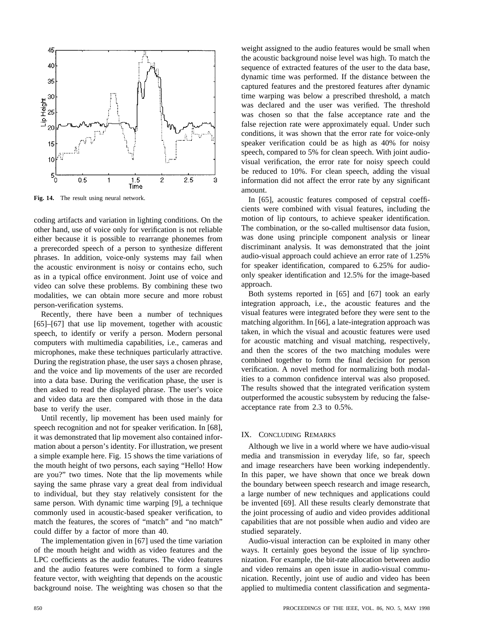

**Fig. 14.** The result using neural network.

coding artifacts and variation in lighting conditions. On the other hand, use of voice only for verification is not reliable either because it is possible to rearrange phonemes from a prerecorded speech of a person to synthesize different phrases. In addition, voice-only systems may fail when the acoustic environment is noisy or contains echo, such as in a typical office environment. Joint use of voice and video can solve these problems. By combining these two modalities, we can obtain more secure and more robust person-verification systems.

Recently, there have been a number of techniques [65]–[67] that use lip movement, together with acoustic speech, to identify or verify a person. Modern personal computers with multimedia capabilities, i.e., cameras and microphones, make these techniques particularly attractive. During the registration phase, the user says a chosen phrase, and the voice and lip movements of the user are recorded into a data base. During the verification phase, the user is then asked to read the displayed phrase. The user's voice and video data are then compared with those in the data base to verify the user.

Until recently, lip movement has been used mainly for speech recognition and not for speaker verification. In [68], it was demonstrated that lip movement also contained information about a person's identity. For illustration, we present a simple example here. Fig. 15 shows the time variations of the mouth height of two persons, each saying "Hello! How are you?" two times. Note that the lip movements while saying the same phrase vary a great deal from individual to individual, but they stay relatively consistent for the same person. With dynamic time warping [9], a technique commonly used in acoustic-based speaker verification, to match the features, the scores of "match" and "no match" could differ by a factor of more than 40.

The implementation given in [67] used the time variation of the mouth height and width as video features and the LPC coefficients as the audio features. The video features and the audio features were combined to form a single feature vector, with weighting that depends on the acoustic background noise. The weighting was chosen so that the weight assigned to the audio features would be small when the acoustic background noise level was high. To match the sequence of extracted features of the user to the data base, dynamic time was performed. If the distance between the captured features and the prestored features after dynamic time warping was below a prescribed threshold, a match was declared and the user was verified. The threshold was chosen so that the false acceptance rate and the false rejection rate were approximately equal. Under such conditions, it was shown that the error rate for voice-only speaker verification could be as high as 40% for noisy speech, compared to 5% for clean speech. With joint audiovisual verification, the error rate for noisy speech could be reduced to 10%. For clean speech, adding the visual information did not affect the error rate by any significant amount.

In [65], acoustic features composed of cepstral coefficients were combined with visual features, including the motion of lip contours, to achieve speaker identification. The combination, or the so-called multisensor data fusion, was done using principle component analysis or linear discriminant analysis. It was demonstrated that the joint audio-visual approach could achieve an error rate of 1.25% for speaker identification, compared to 6.25% for audioonly speaker identification and 12.5% for the image-based approach.

Both systems reported in [65] and [67] took an early integration approach, i.e., the acoustic features and the visual features were integrated before they were sent to the matching algorithm. In [66], a late-integration approach was taken, in which the visual and acoustic features were used for acoustic matching and visual matching, respectively, and then the scores of the two matching modules were combined together to form the final decision for person verification. A novel method for normalizing both modalities to a common confidence interval was also proposed. The results showed that the integrated verification system outperformed the acoustic subsystem by reducing the falseacceptance rate from 2.3 to 0.5%.

#### IX. CONCLUDING REMARKS

Although we live in a world where we have audio-visual media and transmission in everyday life, so far, speech and image researchers have been working independently. In this paper, we have shown that once we break down the boundary between speech research and image research, a large number of new techniques and applications could be invented [69]. All these results clearly demonstrate that the joint processing of audio and video provides additional capabilities that are not possible when audio and video are studied separately.

Audio-visual interaction can be exploited in many other ways. It certainly goes beyond the issue of lip synchronization. For example, the bit-rate allocation between audio and video remains an open issue in audio-visual communication. Recently, joint use of audio and video has been applied to multimedia content classification and segmenta-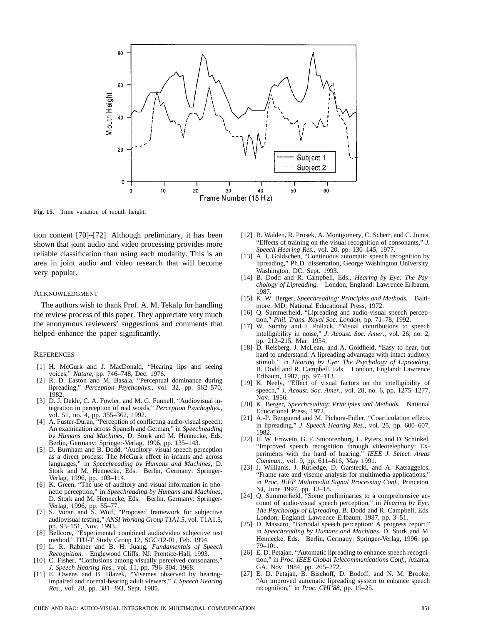

**Fig. 15.** Time variation of mouth height.

tion content [70]–[72]. Although preliminary, it has been shown that joint audio and video processing provides more reliable classification than using each modality. This is an area in joint audio and video research that will become very popular.

#### ACKNOWLEDGMENT

The authors wish to thank Prof. A. M. Tekalp for handling the review process of this paper. They appreciate very much the anonymous reviewers' suggestions and comments that helped enhance the paper significantly.

#### **REFERENCES**

- [1] H. McGurk and J. MacDonald, "Hearing lips and seeing voices," *Nature,* pp. 746–748, Dec. 1976.
- [2] R. D. Easton and M. Basala, "Perceptual dominance during lipreading," *Perception Psychophys.,* vol. 32, pp. 562–570, 1982.
- [3] D. J. Dekle, C. A. Fowler, and M. G. Funnell, "Audiovisual integration in perception of real words," *Perception Psychophys.,* vol. 51, no. 4, pp. 355–362, 1992.
- [4] A. Fuster-Duran, "Perception of conflicting audio-visual speech: An examination across Spanish and German," in *Speechreading by Humans and Machines,* D. Stork and M. Hennecke, Eds. Berlin, Germany: Springer-Verlag, 1996, pp. 135–143.
- [5] D. Burnham and B. Dodd, "Auditory–visual speech perception as a direct process: The McGurk effect in infants and across languages," in *Speechreading by Humans and Machines,* D. Stork and M. Hennecke, Eds. Berlin, Germany: Springer-Verlag, 1996, pp. 103–114.
- [6] K. Green, "The use of auditory and visual information in phonetic perception," in *Speechreading by Humans and Machines,* D. Stork and M. Hennecke, Eds. Berlin, Germany: Springer-Verlag, 1996, pp. 55–77.
- [7] S. Voran and S. Wolf, "Proposed framework for subjective audiovisual testing," *ANSI Working Group T1A1.5,* vol. T1A1.5, pp. 93–151, Nov. 1993.
- [8] Bellcore, "Experimental combined audio/video subjective test method," ITU-T Study Group 12, SGC/12-01, Feb. 1994.
- [9] L. R. Rabiner and B. H. Juang, *Fundamentals of Speech Recognition.* Englewood Cliffs, NJ: Prentice-Hall, 1993.
- [10] C. Fisher, "Confusions among visually perceived consonants," *J. Speech Hearing Res.,* vol. 11, pp. 796–804, 1968.
- [11] E. Owens and B. Blazek, "Visemes observed by hearingimpaired and normal-hearing adult viewers," *J. Speech Hearing Res.,* vol. 28, pp. 381–393, Sept. 1985.
- [12] B. Walden, R. Prosek, A. Montgomery, C. Scherr, and C. Jones, "Effects of training on the visual recognition of consonants," *J. Speech Hearing Res.,* vol. 20, pp. 130–145, 1977.
- [13] A. J. Goldschen, "Continuous automatic speech recognition by lipreading," Ph.D. dissertation, George Washington University, Washington, DC, Sept. 1993.
- [14] B. Dodd and R. Campbell, Eds., *Hearing by Eye: The Psychology of Lipreading.* London, England: Lawrence Erlbaum, 1987.
- [15] K. W. Berger, *Speechreading: Principles and Methods.* Baltimore, MD: National Educational Press, 1972.
- [16] Q. Summerfield, "Lipreading and audio-visual speech perception," *Phil. Trans. Royal Soc. London,* pp. 71–78, 1992.
- [17] W. Sumby and I. Pollack, "Visual contributions to speech intelligibility in noise," *J. Acoust. Soc. Amer.,* vol. 26, no. 2, pp. 212–215, Mar. 1954.
- [18] D. Reisberg, J. McLean, and A. Goldfield, "Easy to hear, but hard to understand: A lipreading advantage with intact auditory stimuli," in *Hearing by Eye: The Psychology of Lipreading,* B. Dodd and R. Campbell, Eds. London, England: Lawrence Erlbaum, 1987, pp. 97–113.
- [19] K. Neely, "Effect of visual factors on the intelligibility of speech," *J. Acoust. Soc. Amer.,* vol. 28, no. 6, pp. 1275–1277, Nov. 1956.
- [20] K. Berger, *Speechreading: Principles and Methods.* National Educational Press, 1972.
- [21] A.-P. Benguerel and M. Pichora-Fuller, "Coarticulation effects in lipreading," *J. Speech Hearing Res.,* vol. 25, pp. 600–607, 1982.
- [22] H. W. Frowein, G. F. Smoorenburg, L. Pyters, and D. Schinkel, "Improved speech recognition through videotelephony: Experiments with the hard of hearing," *IEEE J. Select. Areas Commun.,* vol. 9, pp. 611–616, May 1991.
- [23] J. Williams, J. Rutledge, D. Garstecki, and A. Katsaggelos, "Frame rate and viseme analysis for multimedia applications," in *Proc. IEEE Multimedia Signal Processing Conf.,* Princeton, NJ, June 1997, pp. 13–18.
- [24] Q. Summerfield, "Some preliminaries to a comprehensive account of audio-visual speech perception," in *Hearing by Eye: The Psychology of Lipreading,* B. Dodd and R. Campbell, Eds. London, England: Lawrence Erlbaum, 1987, pp. 3–51.
- [25] D. Massaro, "Bimodal speech perception: A progress report," in *Speechreading by Humans and Machines,* D. Stork and M. Hennecke, Eds. Berlin, Germany: Springer-Verlag, 1996, pp. 79–101.
- [26] E. D. Petajan, "Automatic lipreading to enhance speech recognition," in *Proc. IEEE Global Telecommunications Conf.,* Atlanta, GA, Nov. 1984, pp. 265–272.
- [27] E. D. Petajan, B. Bischoff, D. Bodoff, and N. M. Brooke, "An improved automatic lipreading system to enhance speech recognition," in *Proc. CHI'88,* pp. 19–25.